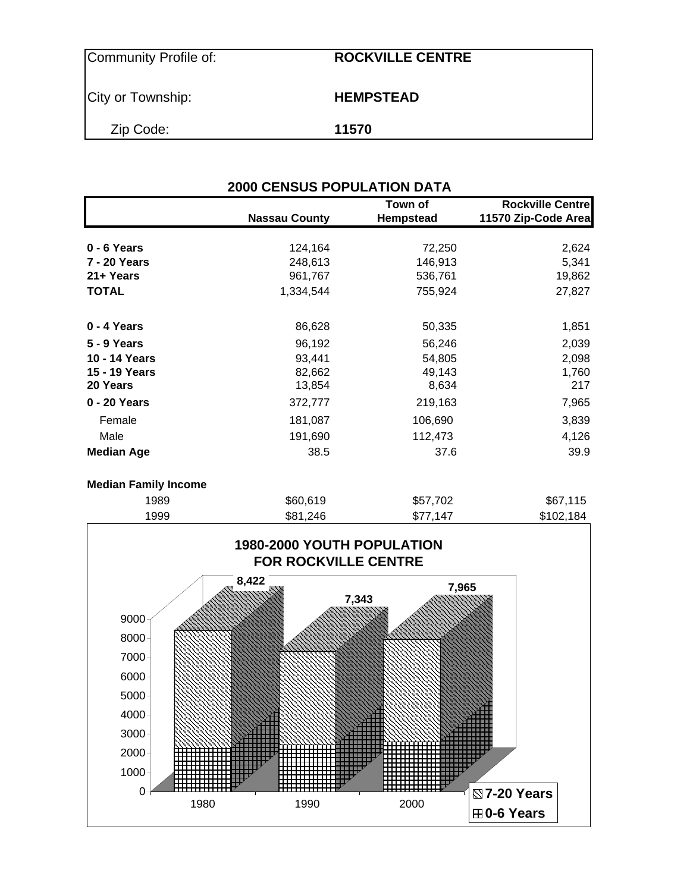| Community Profile of: | <b>ROCKVILLE CENTRE</b> |  |
|-----------------------|-------------------------|--|
| City or Township:     | <b>HEMPSTEAD</b>        |  |
| Zip Code:             | 11570                   |  |

|                   | <b>Nassau County</b> | Town of<br><b>Hempstead</b> | <b>Rockville Centre</b><br>11570 Zip-Code Area |
|-------------------|----------------------|-----------------------------|------------------------------------------------|
|                   |                      |                             |                                                |
| 0 - 6 Years       | 124,164              | 72,250                      | 2,624                                          |
| 7 - 20 Years      | 248,613              | 146,913                     | 5,341                                          |
| 21+ Years         | 961,767              | 536,761                     | 19,862                                         |
| <b>TOTAL</b>      | 1,334,544            | 755,924                     | 27,827                                         |
| 0 - 4 Years       | 86,628               | 50,335                      | 1,851                                          |
| 5 - 9 Years       | 96,192               | 56,246                      | 2,039                                          |
| 10 - 14 Years     | 93,441               | 54,805                      | 2,098                                          |
| 15 - 19 Years     | 82,662               | 49,143                      | 1,760                                          |
| 20 Years          | 13,854               | 8,634                       | 217                                            |
| 0 - 20 Years      | 372,777              | 219,163                     | 7,965                                          |
| Female            | 181,087              | 106,690                     | 3,839                                          |
| Male              | 191,690              | 112,473                     | 4,126                                          |
| <b>Median Age</b> | 38.5                 | 37.6                        | 39.9                                           |

| <b>Median Family Income</b> |          |          |           |
|-----------------------------|----------|----------|-----------|
| 1989                        | \$60,619 | \$57,702 | \$67,115  |
| 1999                        | \$81.246 | \$77.147 | \$102,184 |
|                             |          |          |           |

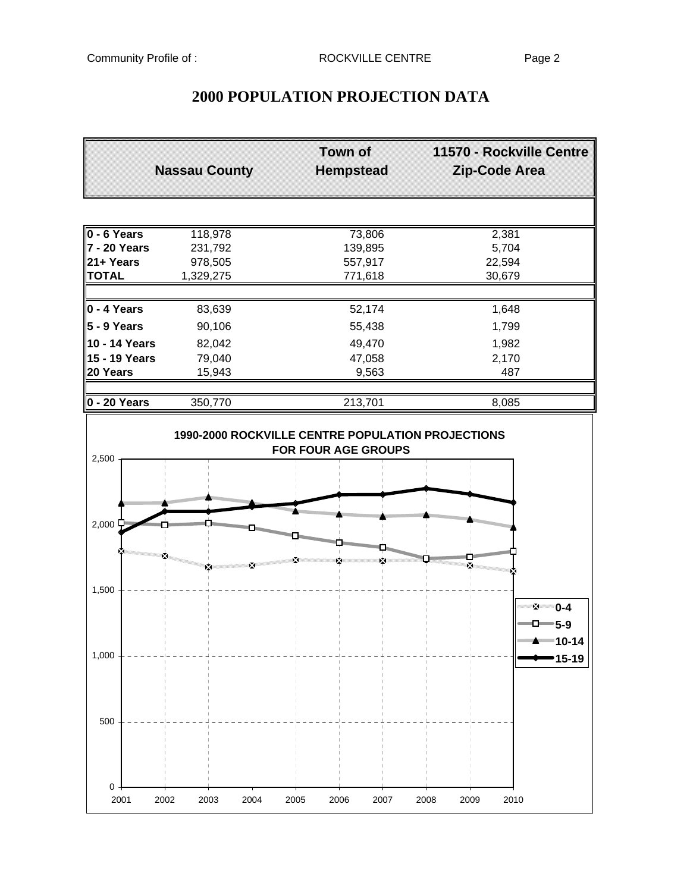| <b>Nassau County</b> |                      | <b>Town of</b><br><b>Hempstead</b> | 11570 - Rockville Centre<br>Zip-Code Area          |  |  |
|----------------------|----------------------|------------------------------------|----------------------------------------------------|--|--|
|                      |                      |                                    |                                                    |  |  |
| $0 - 6$ Years        | 118,978              | 73,806                             | 2,381                                              |  |  |
| 7 - 20 Years         | 231,792              | 139,895                            | 5,704                                              |  |  |
| 21+ Years            | 978,505              | 557,917                            | 22,594                                             |  |  |
| <b>TOTAL</b>         | 1,329,275            | 771,618                            | 30,679                                             |  |  |
| $0 - 4$ Years        | 83,639               | 52,174                             | 1,648                                              |  |  |
| $5 - 9$ Years        |                      |                                    |                                                    |  |  |
|                      | 90,106               | 55,438                             | 1,799                                              |  |  |
| 10 - 14 Years        | 82,042               | 49,470                             | 1,982                                              |  |  |
| 15 - 19 Years        | 79,040               | 47,058                             | 2,170                                              |  |  |
| 20 Years             | 15,943               | 9,563                              | 487                                                |  |  |
| 0 - 20 Years         | 350,770              | 213,701                            | 8,085                                              |  |  |
| 2,500                |                      |                                    |                                                    |  |  |
| 2,000 두              |                      |                                    | <b>Kanggoromana</b>                                |  |  |
| 1,500                | ਲ ਵ<br><b>Marine</b> |                                    | ×<br>** 0-4<br>an an                               |  |  |
| 1,000                |                      |                                    | $-D=5-9$<br>""" <del>"</del> "" 10-14<br>$15 - 19$ |  |  |
| 500                  |                      |                                    |                                                    |  |  |
| 0<br>2001<br>2002    | 2003<br>2004         | 2005<br>2006<br>2007               | 2008<br>2009<br>2010                               |  |  |

# **2000 POPULATION PROJECTION DATA**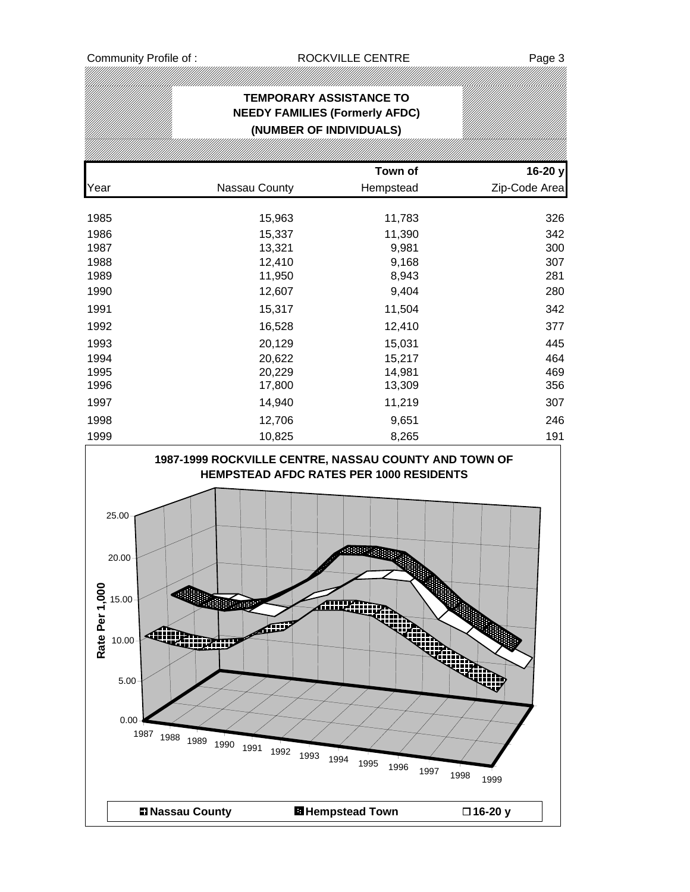# **TEMPORARY ASSISTANCE TO NEEDY FAMILIES (Formerly AFDC) (NUMBER OF INDIVIDUALS)**

|      |               | Town of   | 16-20 y       |
|------|---------------|-----------|---------------|
| Year | Nassau County | Hempstead | Zip-Code Area |
|      |               |           |               |
| 1985 | 15,963        | 11,783    | 326           |
| 1986 | 15,337        | 11,390    | 342           |
| 1987 | 13,321        | 9,981     | 300           |
| 1988 | 12,410        | 9,168     | 307           |
| 1989 | 11,950        | 8,943     | 281           |
| 1990 | 12,607        | 9,404     | 280           |
| 1991 | 15,317        | 11,504    | 342           |
| 1992 | 16,528        | 12,410    | 377           |
| 1993 | 20,129        | 15,031    | 445           |
| 1994 | 20,622        | 15,217    | 464           |
| 1995 | 20,229        | 14,981    | 469           |
| 1996 | 17,800        | 13,309    | 356           |
| 1997 | 14,940        | 11,219    | 307           |
| 1998 | 12,706        | 9,651     | 246           |
| 1999 | 10,825        | 8,265     | 191           |

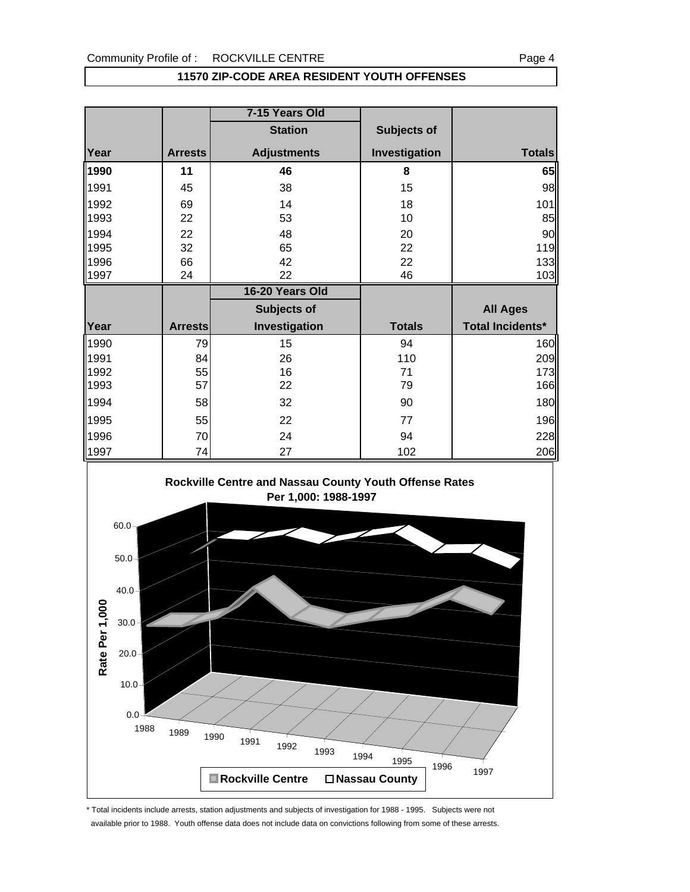### **11570 ZIP-CODE AREA RESIDENT YOUTH OFFENSES**

|              |                | 7-15 Years Old     |                    |                          |
|--------------|----------------|--------------------|--------------------|--------------------------|
|              |                | <b>Station</b>     | <b>Subjects of</b> |                          |
| Year         | <b>Arrests</b> | <b>Adjustments</b> | Investigation      | <b>Totals</b>            |
| 1990         | 11             | 46                 | 8                  | 65                       |
| 1991         | 45             | 38                 | 15                 | 98                       |
| 1992         | 69             | 14                 | 18                 | 101                      |
| 1993         | 22             | 53                 | 10                 | 85                       |
| 1994         | 22             | 48                 | 20                 | 90                       |
| 1995         | 32             | 65                 | 22                 | 119                      |
| 1996         | 66             | 42                 | 22                 | 133                      |
| 1997         | 24             | 22                 | 46                 | 103                      |
|              |                |                    |                    |                          |
|              |                | 16-20 Years Old    |                    |                          |
|              |                | <b>Subjects of</b> |                    | <b>All Ages</b>          |
| Year         | <b>Arrests</b> | Investigation      | <b>Totals</b>      | <b>Total Incidents*</b>  |
|              | 79             | 15                 | 94                 |                          |
| 1990<br>1991 | 84             | 26                 | 110                |                          |
| 1992         | 55             | 16                 | 71                 |                          |
| 1993         | 57             | 22                 | 79                 | 160<br>209<br>173<br>166 |
| 1994         | 58             | 32                 | 90                 |                          |
| 1995         | 55             | 22                 | 77                 |                          |
| 1996         | 70             | 24                 | 94                 | 180<br>196<br>228        |



\* Total incidents include arrests, station adjustments and subjects of investigation for 1988 - 1995. Subjects were not available prior to 1988. Youth offense data does not include data on convictions following from some of these arrests.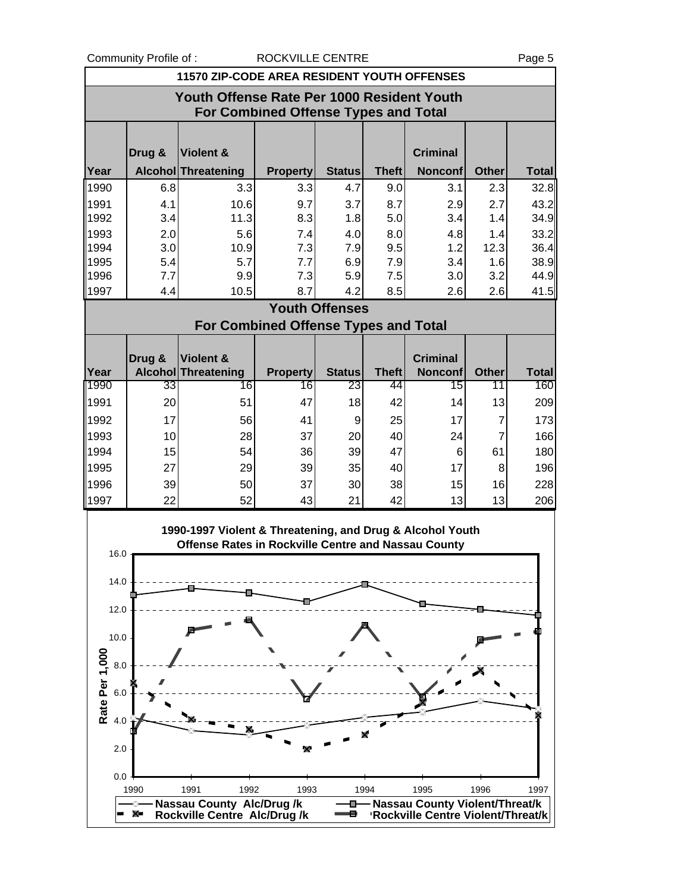Community Profile of : ROCKVILLE CENTRE **ROCK** Page 5

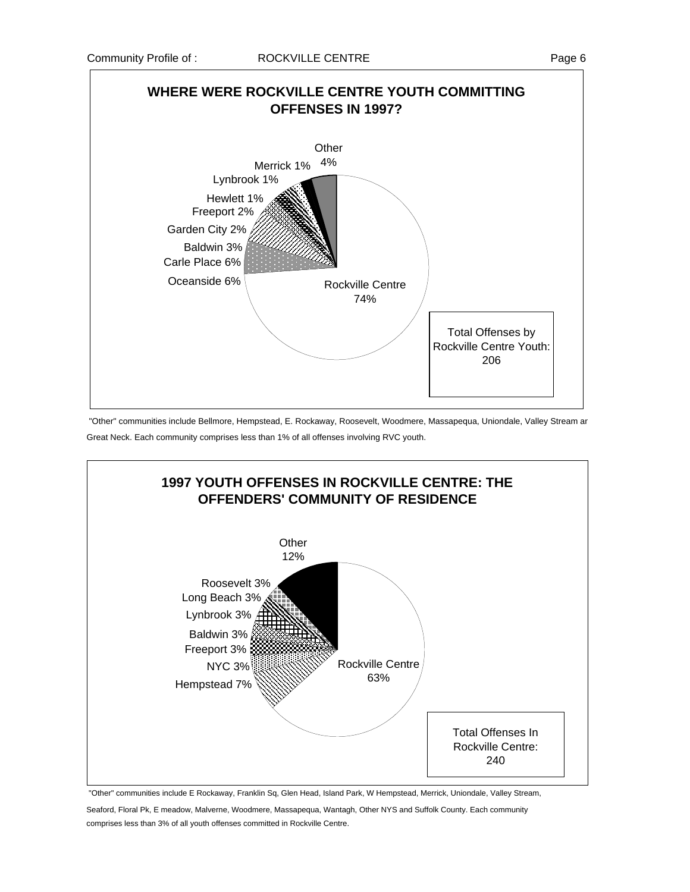

"Other" communities include Bellmore, Hempstead, E. Rockaway, Roosevelt, Woodmere, Massapequa, Uniondale, Valley Stream ar Great Neck. Each community comprises less than 1% of all offenses involving RVC youth.



 "Other" communities include E Rockaway, Franklin Sq, Glen Head, Island Park, W Hempstead, Merrick, Uniondale, Valley Stream, Seaford, Floral Pk, E meadow, Malverne, Woodmere, Massapequa, Wantagh, Other NYS and Suffolk County. Each community comprises less than 3% of all youth offenses committed in Rockville Centre.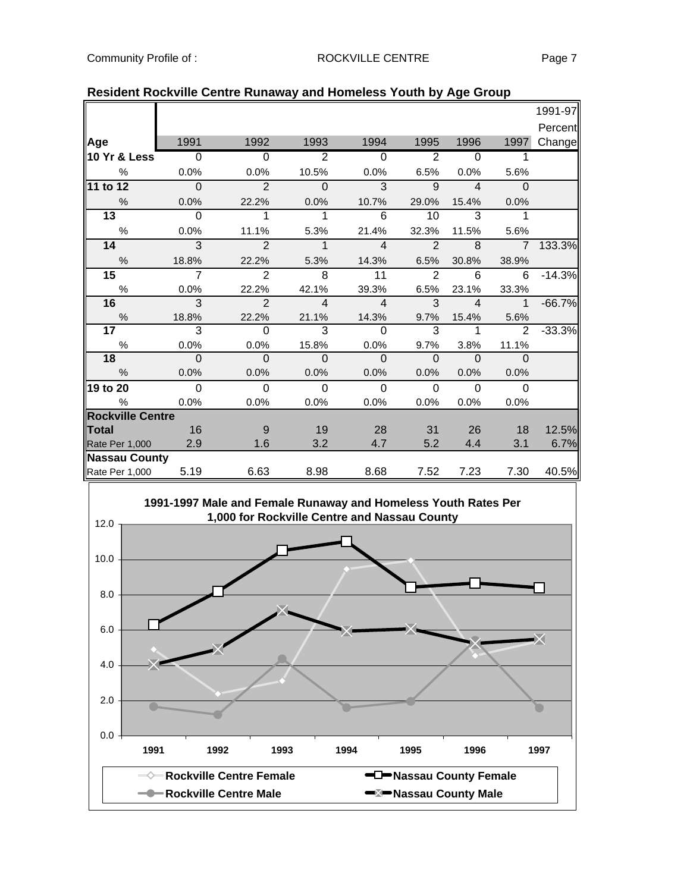|                              |                |                                                                                                                |                |                |                |                |                | 1991-97  |
|------------------------------|----------------|----------------------------------------------------------------------------------------------------------------|----------------|----------------|----------------|----------------|----------------|----------|
|                              |                |                                                                                                                |                |                |                |                |                | Percent  |
| Age                          | 1991           | 1992                                                                                                           | 1993           | 1994           | 1995           | 1996           | 1997           | Change   |
| 10 Yr & Less                 | $\overline{0}$ | $\Omega$                                                                                                       | $\overline{2}$ | $\overline{0}$ | $\overline{2}$ | $\Omega$       | 1              |          |
| $\%$                         | 0.0%           | 0.0%                                                                                                           | 10.5%          | 0.0%           | 6.5%           | 0.0%           | 5.6%           |          |
| 11 to 12                     | $\Omega$       | $\overline{2}$                                                                                                 | $\Omega$       | $\overline{3}$ | $\overline{9}$ | $\overline{4}$ | $\Omega$       |          |
| %                            | 0.0%           | 22.2%                                                                                                          | 0.0%           | 10.7%          | 29.0%          | 15.4%          | 0.0%           |          |
| 13                           | $\Omega$       | 1                                                                                                              | 1              | 6              | 10             | 3              | 1              |          |
| $\%$                         | 0.0%           | 11.1%                                                                                                          | 5.3%           | 21.4%          | 32.3%          | 11.5%          | 5.6%           |          |
| 14                           | $\overline{3}$ | $\overline{2}$                                                                                                 | $\overline{1}$ | $\overline{4}$ | $\overline{2}$ | $\overline{8}$ | $\overline{7}$ | 133.3%   |
| $\%$                         | 18.8%          | 22.2%                                                                                                          | 5.3%           | 14.3%          | 6.5%           | 30.8%          | 38.9%          |          |
| 15                           | $\overline{7}$ | $\overline{2}$                                                                                                 | 8              | 11             | $\overline{2}$ | 6              | 6              | $-14.3%$ |
| $\%$                         | 0.0%           | 22.2%                                                                                                          | 42.1%          | 39.3%          | 6.5%           | 23.1%          | 33.3%          |          |
| 16                           | 3              | $\overline{2}$                                                                                                 | 4              | $\overline{4}$ | 3              | $\overline{4}$ | $\mathbf{1}$   | $-66.7%$ |
| $\%$                         | 18.8%          | 22.2%                                                                                                          | 21.1%          | 14.3%          | 9.7%           | 15.4%          | 5.6%           |          |
| 17                           | 3              | 0                                                                                                              | 3              | 0              | 3              | 1              | 2              | $-33.3%$ |
| $\%$                         | 0.0%           | 0.0%                                                                                                           | 15.8%          | 0.0%           | 9.7%           | 3.8%           | 11.1%          |          |
| 18                           | $\Omega$       | $\mathbf{O}$                                                                                                   | 0              | $\Omega$       | $\Omega$       | $\Omega$       | $\Omega$       |          |
| $\%$                         | 0.0%           | 0.0%                                                                                                           | 0.0%           | 0.0%           | 0.0%           | 0.0%           | 0.0%           |          |
| 19 to 20                     | $\Omega$       | $\mathbf 0$                                                                                                    | 0              | $\overline{0}$ | $\Omega$       | $\mathbf 0$    | $\Omega$       |          |
| %<br><b>Rockville Centre</b> | 0.0%           | 0.0%                                                                                                           | 0.0%           | 0.0%           | 0.0%           | 0.0%           | 0.0%           |          |
| Total                        | 16             | $9\,$                                                                                                          | 19             | 28             | 31             | 26             | 18             | 12.5%    |
| Rate Per 1,000               | 2.9            | 1.6                                                                                                            | 3.2            | 4.7            | 5.2            | 4.4            | 3.1            | 6.7%     |
| <b>Nassau County</b>         |                |                                                                                                                |                |                |                |                |                |          |
| Rate Per 1,000               | 5.19           | 6.63                                                                                                           | 8.98           | 8.68           | 7.52           | 7.23           | 7.30           | 40.5%    |
| 12.0                         |                | 1991-1997 Male and Female Runaway and Homeless Youth Rates Per<br>1,000 for Rockville Centre and Nassau County |                |                |                |                |                |          |
| 10.0                         |                |                                                                                                                |                |                |                |                |                |          |
| 8.0                          |                |                                                                                                                |                |                |                |                |                |          |
| 6.0                          |                |                                                                                                                |                |                |                |                |                |          |

# **Resident Rockville Centre Runaway and Homeless Youth by Age Group**

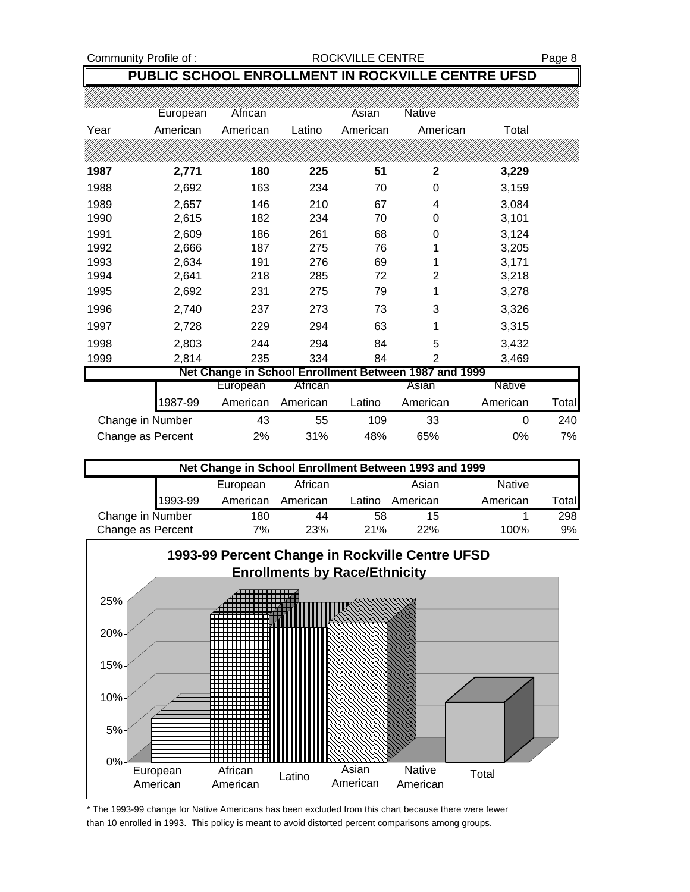# Community Profile of : <br>
ROCKVILLE CENTRE Page 8

# **PUBLIC SCHOOL ENROLLMENT IN ROCKVILLE CENTRE UFSD**

|                   | European | African  |          | Asian    | Native                                                |          |       |
|-------------------|----------|----------|----------|----------|-------------------------------------------------------|----------|-------|
| Year              | American | American | Latino   | American | American                                              | Total    |       |
|                   |          |          |          |          |                                                       |          |       |
| 1987              | 2,771    | 180      | 225      | 51       | 2                                                     | 3,229    |       |
| 1988              | 2,692    | 163      | 234      | 70       | 0                                                     | 3,159    |       |
| 1989              | 2,657    | 146      | 210      | 67       | 4                                                     | 3,084    |       |
| 1990              | 2,615    | 182      | 234      | 70       | 0                                                     | 3,101    |       |
| 1991              | 2,609    | 186      | 261      | 68       | 0                                                     | 3,124    |       |
| 1992              | 2,666    | 187      | 275      | 76       |                                                       | 3,205    |       |
| 1993              | 2,634    | 191      | 276      | 69       | 1                                                     | 3,171    |       |
| 1994              | 2,641    | 218      | 285      | 72       | 2                                                     | 3,218    |       |
| 1995              | 2,692    | 231      | 275      | 79       | 1                                                     | 3,278    |       |
| 1996              | 2,740    | 237      | 273      | 73       | 3                                                     | 3,326    |       |
| 1997              | 2,728    | 229      | 294      | 63       | 1                                                     | 3,315    |       |
| 1998              | 2,803    | 244      | 294      | 84       | 5                                                     | 3,432    |       |
| 1999              | 2,814    | 235      | 334      | 84       | 2                                                     | 3,469    |       |
|                   |          |          |          |          | Net Change in School Enrollment Between 1987 and 1999 |          |       |
|                   |          | European | African  |          | Asian                                                 | Native   |       |
|                   | 1987-99  | American | American | Latino   | American                                              | American | Total |
| Change in Number  |          | 43       | 55       | 109      | 33                                                    | 0        | 240   |
| Change as Percent |          | 2%       | 31%      | 48%      | 65%                                                   | 0%       | 7%    |

| Net Change in School Enrollment Between 1993 and 1999 |         |          |          |        |          |               |        |
|-------------------------------------------------------|---------|----------|----------|--------|----------|---------------|--------|
|                                                       |         | European | African  |        | Asian    | <b>Native</b> |        |
|                                                       | 1993-99 | American | American | Latino | American | American      | Totall |
| Change in Number                                      |         | 180      | 44       | 58     | 15       |               | 298    |
| Change as Percent                                     |         | 7%       | 23%      | 21%    | 22%      | 100%          | 9%     |



\* The 1993-99 change for Native Americans has been excluded from this chart because there were fewer than 10 enrolled in 1993. This policy is meant to avoid distorted percent comparisons among groups.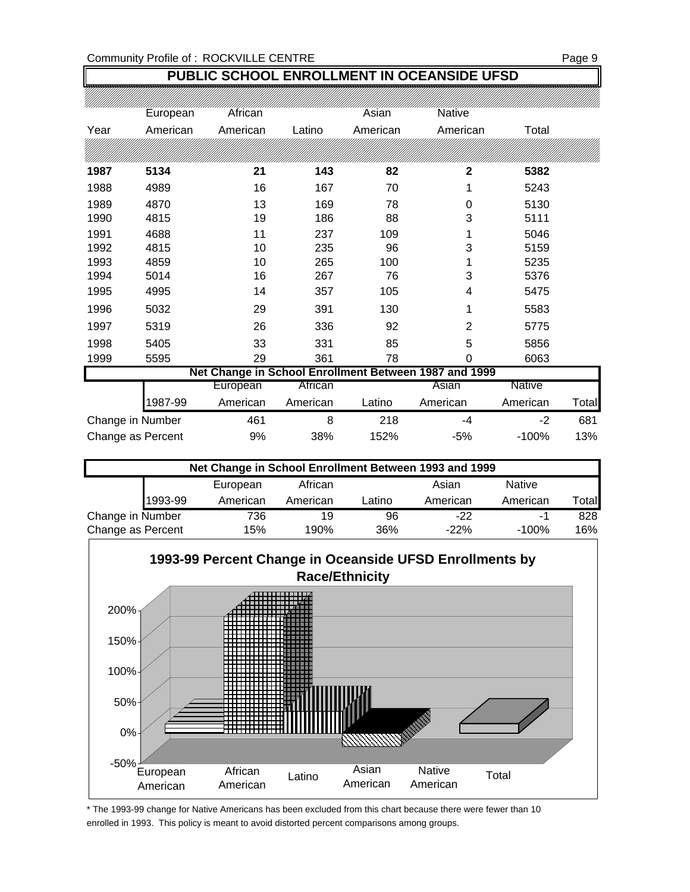# **PUBLIC SCHOOL ENROLLMENT IN OCEANSIDE UFSD**

|                   | European | African  |          | Asian    | Native                                                |               |       |
|-------------------|----------|----------|----------|----------|-------------------------------------------------------|---------------|-------|
| Year              | American | American | Latino   | American | American                                              | Total         |       |
|                   |          |          |          |          |                                                       |               |       |
| 1987              | 5134     | 21       | 143      | 82       | 2                                                     | 5382          |       |
| 1988              | 4989     | 16       | 167      | 70       | 1                                                     | 5243          |       |
| 1989              | 4870     | 13       | 169      | 78       | 0                                                     | 5130          |       |
| 1990              | 4815     | 19       | 186      | 88       | 3                                                     | 5111          |       |
| 1991              | 4688     | 11       | 237      | 109      | 1                                                     | 5046          |       |
| 1992              | 4815     | 10       | 235      | 96       | 3                                                     | 5159          |       |
| 1993              | 4859     | 10       | 265      | 100      |                                                       | 5235          |       |
| 1994              | 5014     | 16       | 267      | 76       | 3                                                     | 5376          |       |
| 1995              | 4995     | 14       | 357      | 105      | 4                                                     | 5475          |       |
| 1996              | 5032     | 29       | 391      | 130      | 1                                                     | 5583          |       |
| 1997              | 5319     | 26       | 336      | 92       | $\overline{2}$                                        | 5775          |       |
| 1998              | 5405     | 33       | 331      | 85       | 5                                                     | 5856          |       |
| 1999              | 5595     | 29       | 361      | 78       | 0                                                     | 6063          |       |
|                   |          |          |          |          | Net Change in School Enrollment Between 1987 and 1999 |               |       |
|                   |          | European | African  |          | Asian                                                 | <b>Native</b> |       |
|                   | 1987-99  | American | American | Latino   | American                                              | American      | Total |
| Change in Number  |          | 461      | 8        | 218      | -4                                                    | $-2$          | 681   |
| Change as Percent |          | 9%       | 38%      | 152%     | $-5%$                                                 | $-100%$       | 13%   |

| Net Change in School Enrollment Between 1993 and 1999 |         |          |          |        |          |               |       |
|-------------------------------------------------------|---------|----------|----------|--------|----------|---------------|-------|
|                                                       |         | European | African  |        | Asian    | <b>Native</b> |       |
|                                                       | 1993-99 | American | American | _atino | American | American      | Total |
| Change in Number                                      |         | 736      | 19       | 96     | $-22$    | -1            | 828   |
| Change as Percent                                     |         | 15%      | 190%     | 36%    | $-22\%$  | $-100%$       | 16%   |



\* The 1993-99 change for Native Americans has been excluded from this chart because there were fewer than 10 enrolled in 1993. This policy is meant to avoid distorted percent comparisons among groups.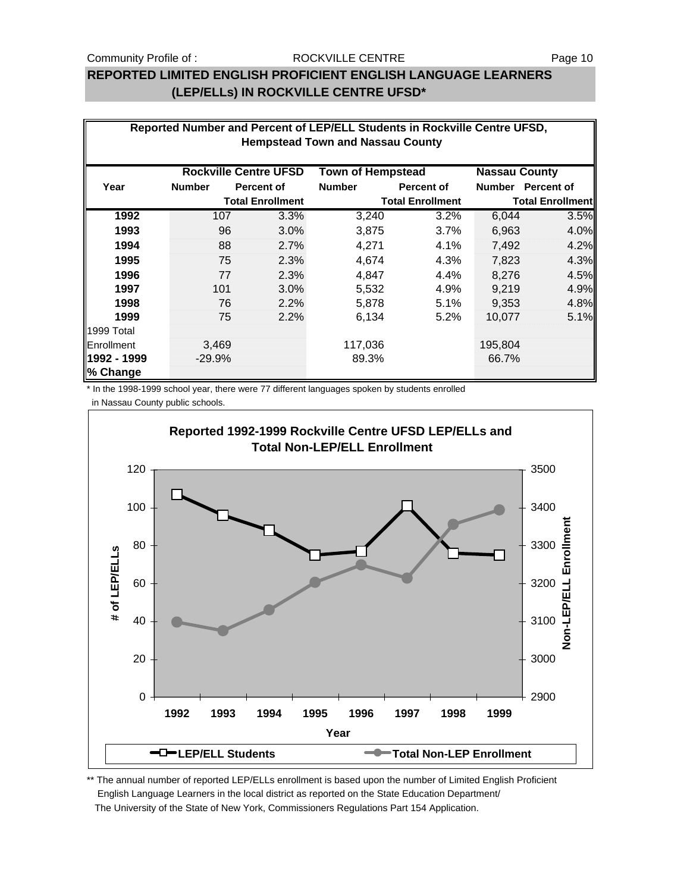### Community Profile of : The Page 10 ROCKVILLE CENTRE The Page 10

## **REPORTED LIMITED ENGLISH PROFICIENT ENGLISH LANGUAGE LEARNERS (LEP/ELLs) IN ROCKVILLE CENTRE UFSD\***

| Reported Number and Percent of LEP/ELL Students in Rockville Centre UFSD,        |               |                         |               |                         |                         |                   |  |  |
|----------------------------------------------------------------------------------|---------------|-------------------------|---------------|-------------------------|-------------------------|-------------------|--|--|
| <b>Hempstead Town and Nassau County</b>                                          |               |                         |               |                         |                         |                   |  |  |
|                                                                                  |               |                         |               |                         |                         |                   |  |  |
| <b>Rockville Centre UFSD</b><br><b>Town of Hempstead</b><br><b>Nassau County</b> |               |                         |               |                         |                         |                   |  |  |
| Year                                                                             | <b>Number</b> | <b>Percent of</b>       | <b>Number</b> | <b>Percent of</b>       |                         | Number Percent of |  |  |
|                                                                                  |               | <b>Total Enrollment</b> |               | <b>Total Enrollment</b> | <b>Total Enrollment</b> |                   |  |  |
| 1992                                                                             | 107           | 3.3%                    | 3,240         | 3.2%                    | 6,044                   | 3.5%              |  |  |
| 1993                                                                             | 96            | 3.0%                    | 3,875         | 3.7%                    | 6,963                   | 4.0%              |  |  |
| 1994                                                                             | 88            | 2.7%                    | 4,271         | 4.1%                    | 7,492                   | 4.2%              |  |  |
| 1995                                                                             | 75            | 2.3%                    | 4,674         | 4.3%                    | 7,823                   | 4.3%              |  |  |
| 1996                                                                             | 77            | 2.3%                    | 4,847         | 4.4%                    | 8,276                   | 4.5%              |  |  |
| 1997                                                                             | 101           | 3.0%                    | 5,532         | 4.9%                    | 9,219                   | 4.9%              |  |  |
| 1998                                                                             | 76            | 2.2%                    | 5,878         | 5.1%                    | 9,353                   | 4.8%              |  |  |
| 1999                                                                             | 75            | 2.2%                    | 6,134         | 5.2%                    | 10,077                  | 5.1%              |  |  |
| 1999 Total                                                                       |               |                         |               |                         |                         |                   |  |  |
| Enrollment                                                                       | 3,469         |                         | 117,036       |                         | 195,804                 |                   |  |  |
| 1992 - 1999                                                                      | $-29.9%$      |                         | 89.3%         |                         | 66.7%                   |                   |  |  |
| % Change                                                                         |               |                         |               |                         |                         |                   |  |  |

\* In the 1998-1999 school year, there were 77 different languages spoken by students enrolled in Nassau County public schools.



\*\* The annual number of reported LEP/ELLs enrollment is based upon the number of Limited English Proficient English Language Learners in the local district as reported on the State Education Department/ The University of the State of New York, Commissioners Regulations Part 154 Application.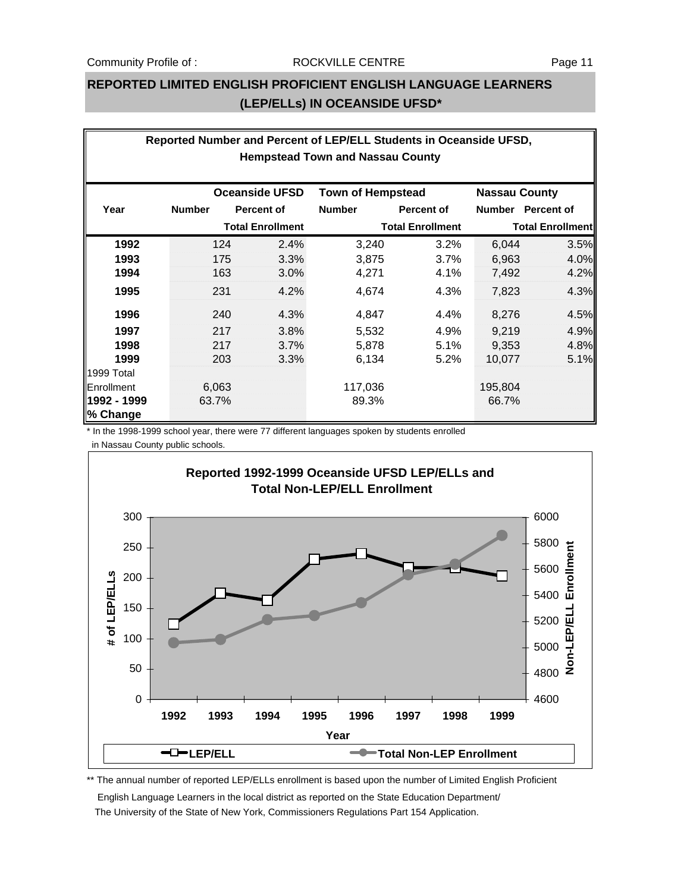# **REPORTED LIMITED ENGLISH PROFICIENT ENGLISH LANGUAGE LEARNERS (LEP/ELLs) IN OCEANSIDE UFSD\***

| Reported Number and Percent of LEP/ELL Students in Oceanside UFSD, |               |                         |                          |                         |                      |                         |  |  |  |
|--------------------------------------------------------------------|---------------|-------------------------|--------------------------|-------------------------|----------------------|-------------------------|--|--|--|
| <b>Hempstead Town and Nassau County</b>                            |               |                         |                          |                         |                      |                         |  |  |  |
|                                                                    |               |                         |                          |                         |                      |                         |  |  |  |
|                                                                    |               | <b>Oceanside UFSD</b>   | <b>Town of Hempstead</b> |                         | <b>Nassau County</b> |                         |  |  |  |
| Year                                                               | <b>Number</b> | <b>Percent of</b>       | <b>Number</b>            | <b>Percent of</b>       |                      | Number Percent of       |  |  |  |
|                                                                    |               | <b>Total Enrollment</b> |                          | <b>Total Enrollment</b> |                      | <b>Total Enrollment</b> |  |  |  |
| 1992                                                               | 124           | 2.4%                    | 3,240                    | 3.2%                    | 6,044                | 3.5%                    |  |  |  |
| 1993                                                               | 175           | 3.3%                    | 3,875                    | 3.7%                    | 6,963                | 4.0%                    |  |  |  |
| 1994                                                               | 163           | 3.0%                    | 4,271                    | 4.1%                    | 7,492                | 4.2%                    |  |  |  |
| 1995                                                               | 231           | 4.2%                    | 4,674                    | 4.3%                    | 7,823                | 4.3%                    |  |  |  |
| 1996                                                               | 240           | 4.3%                    | 4,847                    | 4.4%                    | 8,276                | 4.5%                    |  |  |  |
| 1997                                                               | 217           | 3.8%                    | 5,532                    | 4.9%                    | 9,219                | 4.9%                    |  |  |  |
| 1998                                                               | 217           | 3.7%                    | 5,878                    | 5.1%                    | 9,353                | 4.8%                    |  |  |  |
| 1999                                                               | 203           | 3.3%                    | 6,134                    | 5.2%                    | 10,077               | 5.1%                    |  |  |  |
| 1999 Total                                                         |               |                         |                          |                         |                      |                         |  |  |  |
| Enrollment                                                         | 6,063         |                         | 117,036                  |                         | 195,804              |                         |  |  |  |
| 1992 - 1999                                                        | 63.7%         |                         | 89.3%                    |                         | 66.7%                |                         |  |  |  |
| % Change                                                           |               |                         |                          |                         |                      |                         |  |  |  |

\* In the 1998-1999 school year, there were 77 different languages spoken by students enrolled

in Nassau County public schools.



\*\* The annual number of reported LEP/ELLs enrollment is based upon the number of Limited English Proficient

 English Language Learners in the local district as reported on the State Education Department/ The University of the State of New York, Commissioners Regulations Part 154 Application.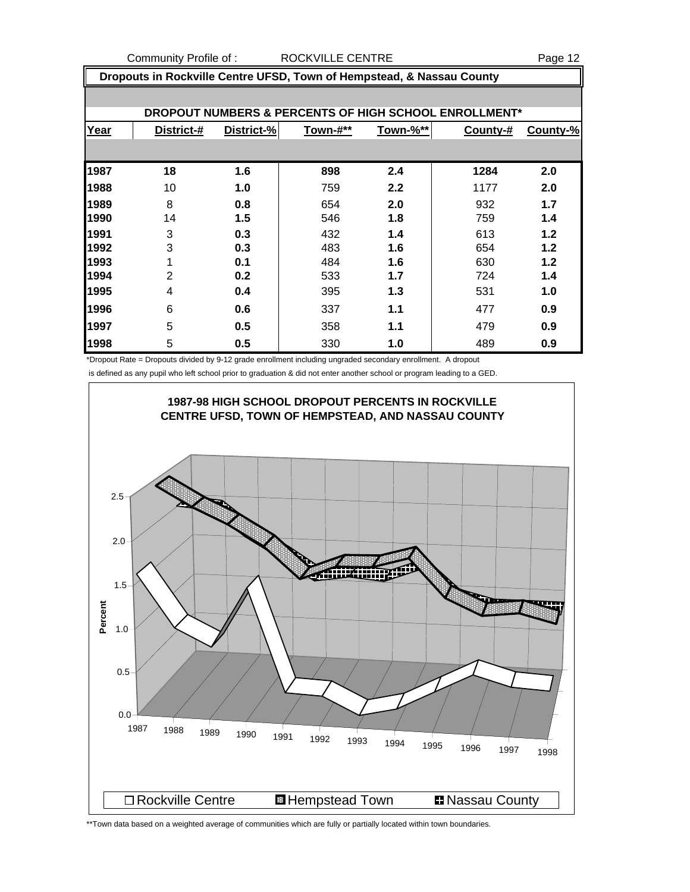Community Profile of : ROCKVILLE CENTRE The Season of Page 12

| Dropouts in Rockville Centre UFSD, Town of Hempstead, & Nassau County |                                                       |            |          |          |          |          |  |  |  |
|-----------------------------------------------------------------------|-------------------------------------------------------|------------|----------|----------|----------|----------|--|--|--|
|                                                                       |                                                       |            |          |          |          |          |  |  |  |
|                                                                       | DROPOUT NUMBERS & PERCENTS OF HIGH SCHOOL ENROLLMENT* |            |          |          |          |          |  |  |  |
| Year                                                                  | District-#                                            | District-% | Town-#** | Town-%** | County-# | County-% |  |  |  |
|                                                                       |                                                       |            |          |          |          |          |  |  |  |
| 1987                                                                  | 18                                                    | 1.6        | 898      | 2.4      | 1284     | 2.0      |  |  |  |
| 1988                                                                  | 10                                                    | 1.0        | 759      | 2.2      | 1177     | 2.0      |  |  |  |
| 1989                                                                  | 8                                                     | 0.8        | 654      | 2.0      | 932      | 1.7      |  |  |  |
| 1990                                                                  | 14                                                    | 1.5        | 546      | 1.8      | 759      | 1.4      |  |  |  |
| 1991                                                                  | 3                                                     | 0.3        | 432      | 1.4      | 613      | 1.2      |  |  |  |
| 1992                                                                  | 3                                                     | 0.3        | 483      | 1.6      | 654      | 1.2      |  |  |  |
| 1993                                                                  |                                                       | 0.1        | 484      | 1.6      | 630      | 1.2      |  |  |  |
| 1994                                                                  | 2                                                     | 0.2        | 533      | 1.7      | 724      | 1.4      |  |  |  |
| 1995                                                                  | 4                                                     | 0.4        | 395      | 1.3      | 531      | 1.0      |  |  |  |
| 1996                                                                  | 6                                                     | 0.6        | 337      | 1.1      | 477      | 0.9      |  |  |  |
| 1997                                                                  | 5                                                     | 0.5        | 358      | 1.1      | 479      | 0.9      |  |  |  |
| 1998                                                                  | 5                                                     | 0.5        | 330      | 1.0      | 489      | 0.9      |  |  |  |

\*Dropout Rate = Dropouts divided by 9-12 grade enrollment including ungraded secondary enrollment. A dropout is defined as any pupil who left school prior to graduation & did not enter another school or program leading to a GED.



\*\*Town data based on a weighted average of communities which are fully or partially located within town boundaries.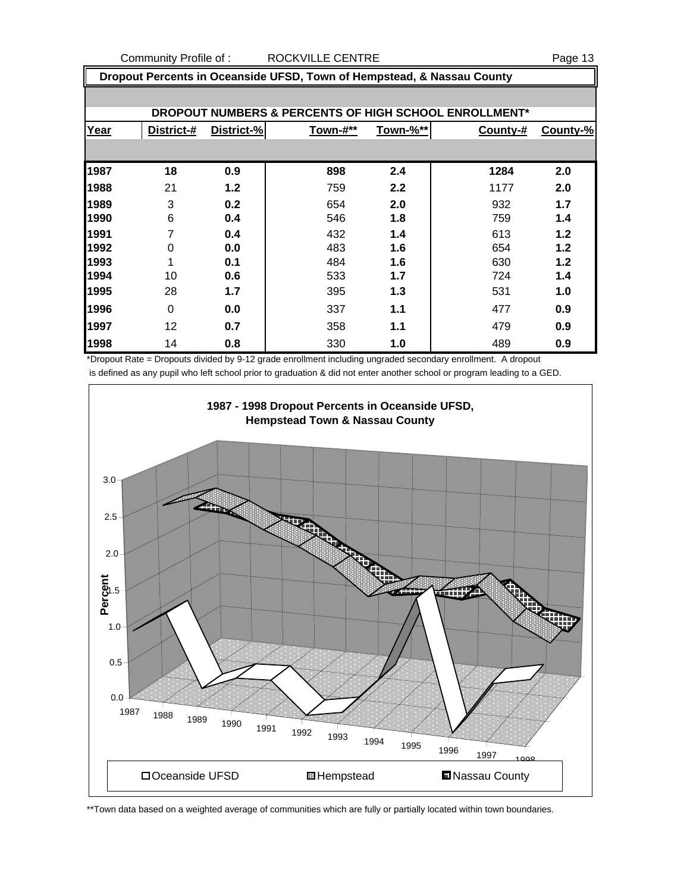Community Profile of : ROCKVILLE CENTRE **Page 13** 

|      | Dropout Percents in Oceanside UFSD, Town of Hempstead, & Nassau County |            |          |          |          |          |  |  |  |
|------|------------------------------------------------------------------------|------------|----------|----------|----------|----------|--|--|--|
|      | DROPOUT NUMBERS & PERCENTS OF HIGH SCHOOL ENROLLMENT*                  |            |          |          |          |          |  |  |  |
|      |                                                                        |            |          |          |          |          |  |  |  |
| Year | District-#                                                             | District-% | Town-#** | Town-%** | County-# | County-% |  |  |  |
|      |                                                                        |            |          |          |          |          |  |  |  |
| 1987 | 18                                                                     | 0.9        | 898      | 2.4      | 1284     | 2.0      |  |  |  |
| 1988 | 21                                                                     | 1.2        | 759      | 2.2      | 1177     | 2.0      |  |  |  |
| 1989 | 3                                                                      | 0.2        | 654      | 2.0      | 932      | 1.7      |  |  |  |
| 1990 | 6                                                                      | 0.4        | 546      | 1.8      | 759      | 1.4      |  |  |  |
| 1991 | 7                                                                      | 0.4        | 432      | 1.4      | 613      | $1.2$    |  |  |  |
| 1992 | 0                                                                      | 0.0        | 483      | 1.6      | 654      | 1.2      |  |  |  |
| 1993 | 1                                                                      | 0.1        | 484      | 1.6      | 630      | 1.2      |  |  |  |
| 1994 | 10                                                                     | 0.6        | 533      | 1.7      | 724      | 1.4      |  |  |  |
| 1995 | 28                                                                     | 1.7        | 395      | 1.3      | 531      | 1.0      |  |  |  |
| 1996 | $\Omega$                                                               | 0.0        | 337      | 1.1      | 477      | 0.9      |  |  |  |
| 1997 | 12                                                                     | 0.7        | 358      | 1.1      | 479      | 0.9      |  |  |  |
| 1998 | 14                                                                     | 0.8        | 330      | 1.0      | 489      | 0.9      |  |  |  |

\*Dropout Rate = Dropouts divided by 9-12 grade enrollment including ungraded secondary enrollment. A dropout is defined as any pupil who left school prior to graduation & did not enter another school or program leading to a GED.



\*\*Town data based on a weighted average of communities which are fully or partially located within town boundaries.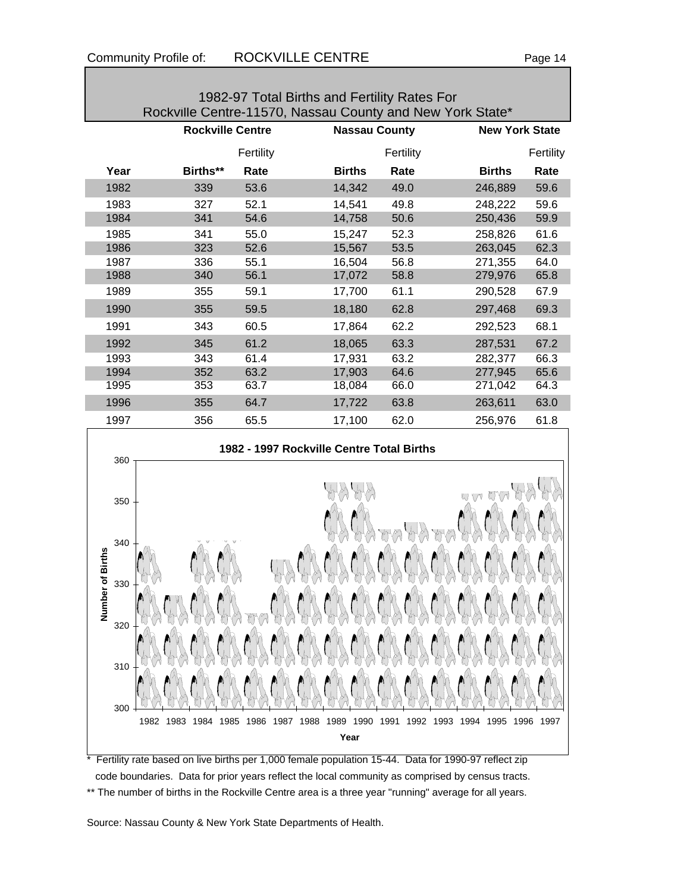Г

| 1982-97 Total Births and Fertility Rates For<br>Rockville Centre-11570, Nassau County and New York State* |                         |              |                                           |                      |                                                                                                     |              |  |  |
|-----------------------------------------------------------------------------------------------------------|-------------------------|--------------|-------------------------------------------|----------------------|-----------------------------------------------------------------------------------------------------|--------------|--|--|
|                                                                                                           | <b>Rockville Centre</b> |              |                                           | <b>Nassau County</b> | <b>New York State</b>                                                                               |              |  |  |
|                                                                                                           |                         | Fertility    |                                           | Fertility            |                                                                                                     | Fertility    |  |  |
| Year                                                                                                      | Births**                | Rate         | <b>Births</b>                             | Rate                 | <b>Births</b>                                                                                       | Rate         |  |  |
| 1982                                                                                                      | 339                     | 53.6         | 14,342                                    | 49.0                 | 246,889                                                                                             | 59.6         |  |  |
| 1983                                                                                                      | 327                     | 52.1         | 14,541                                    | 49.8                 | 248,222                                                                                             | 59.6         |  |  |
| 1984                                                                                                      | 341                     | 54.6         | 14,758                                    | 50.6                 | 250,436                                                                                             | 59.9         |  |  |
| 1985                                                                                                      | 341                     | 55.0         | 15,247                                    | 52.3                 | 258,826                                                                                             | 61.6         |  |  |
| 1986                                                                                                      | 323                     | 52.6         | 15,567                                    | 53.5                 | 263,045                                                                                             | 62.3         |  |  |
| 1987                                                                                                      | 336                     | 55.1         | 16,504                                    | 56.8                 | 271,355                                                                                             | 64.0         |  |  |
| 1988                                                                                                      | 340                     | 56.1         | 17,072                                    | 58.8                 | 279,976                                                                                             | 65.8         |  |  |
| 1989                                                                                                      | 355                     | 59.1         | 17,700                                    | 61.1                 | 290,528                                                                                             | 67.9         |  |  |
| 1990                                                                                                      | 355                     | 59.5         | 18,180                                    | 62.8                 | 297,468                                                                                             | 69.3         |  |  |
| 1991                                                                                                      | 343                     | 60.5         | 17,864                                    | 62.2                 | 292,523                                                                                             | 68.1         |  |  |
| 1992                                                                                                      | 345                     | 61.2         | 18,065                                    | 63.3                 | 287,531                                                                                             | 67.2         |  |  |
| 1993                                                                                                      | 343                     | 61.4         | 17,931                                    | 63.2                 | 282,377                                                                                             | 66.3         |  |  |
| 1994                                                                                                      | 352                     | 63.2         | 17,903                                    | 64.6                 | 277,945                                                                                             | 65.6         |  |  |
| 1995                                                                                                      | 353                     | 63.7         | 18,084                                    | 66.0                 | 271,042                                                                                             | 64.3         |  |  |
| 1996                                                                                                      | 355                     | 64.7         | 17,722                                    | 63.8                 | 263,611                                                                                             | 63.0         |  |  |
| 1997                                                                                                      | 356                     | 65.5         | 17,100                                    | 62.0                 | 256,976                                                                                             | 61.8         |  |  |
| 360                                                                                                       |                         |              | 1982 - 1997 Rockville Centre Total Births |                      |                                                                                                     |              |  |  |
| 350                                                                                                       |                         |              |                                           |                      | KYA MW                                                                                              |              |  |  |
| 340<br><b>Births</b><br>აას                                                                               |                         |              |                                           |                      |                                                                                                     |              |  |  |
| Number of<br>320                                                                                          |                         |              |                                           |                      |                                                                                                     |              |  |  |
| 310                                                                                                       |                         |              |                                           |                      |                                                                                                     |              |  |  |
| 300<br>1982                                                                                               | 1983<br>1984<br>1985    | 1986<br>1987 | 1988<br>1989<br>1990                      | 1991<br>1992         | 1993<br>1994<br>1995                                                                                | 1996<br>1997 |  |  |
|                                                                                                           |                         |              | Year                                      |                      | Fertility rate based on live births per 1,000 female population 15-44. Data for 1990-97 reflect zip |              |  |  |

hs per 1,000 female population 15-44.  $\,$  Data for 1990-97 reflect zip  $\,$  code boundaries. Data for prior years reflect the local community as comprised by census tracts. \*\* The number of births in the Rockville Centre area is a three year "running" average for all years.

Source: Nassau County & New York State Departments of Health.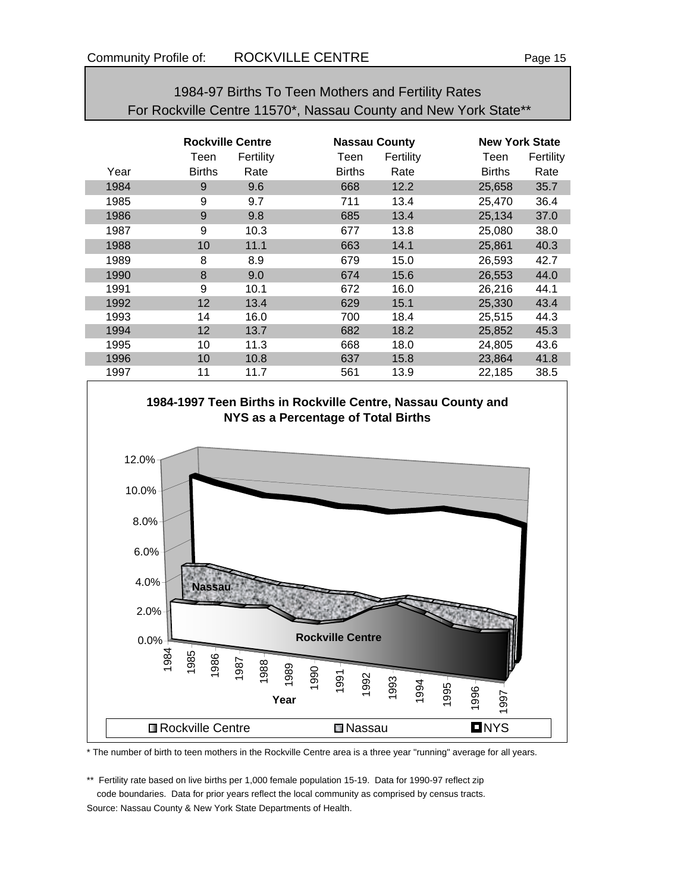| 1984-97 Births To Teen Mothers and Fertility Rates              |
|-----------------------------------------------------------------|
| For Rockville Centre 11570*, Nassau County and New York State** |

|      | <b>Rockville Centre</b> |           |               | <b>Nassau County</b> | <b>New York State</b> |           |  |
|------|-------------------------|-----------|---------------|----------------------|-----------------------|-----------|--|
|      | Teen                    | Fertility | Teen          | Fertility            | Teen                  | Fertility |  |
| Year | <b>Births</b>           | Rate      | <b>Births</b> | Rate                 | <b>Births</b>         | Rate      |  |
| 1984 | 9                       | 9.6       | 668           | 12.2                 | 25,658                | 35.7      |  |
| 1985 | 9                       | 9.7       | 711           | 13.4                 | 25,470                | 36.4      |  |
| 1986 | 9                       | 9.8       | 685           | 13.4                 | 25,134                | 37.0      |  |
| 1987 | 9                       | 10.3      | 677           | 13.8                 | 25,080                | 38.0      |  |
| 1988 | 10                      | 11.1      | 663           | 14.1                 | 25,861                | 40.3      |  |
| 1989 | 8                       | 8.9       | 679           | 15.0                 | 26,593                | 42.7      |  |
| 1990 | 8                       | 9.0       | 674           | 15.6                 | 26,553                | 44.0      |  |
| 1991 | 9                       | 10.1      | 672           | 16.0                 | 26,216                | 44.1      |  |
| 1992 | 12                      | 13.4      | 629           | 15.1                 | 25,330                | 43.4      |  |
| 1993 | 14                      | 16.0      | 700           | 18.4                 | 25,515                | 44.3      |  |
| 1994 | 12                      | 13.7      | 682           | 18.2                 | 25,852                | 45.3      |  |
| 1995 | 10                      | 11.3      | 668           | 18.0                 | 24,805                | 43.6      |  |
| 1996 | 10                      | 10.8      | 637           | 15.8                 | 23,864                | 41.8      |  |
| 1997 | 11                      | 11.7      | 561           | 13.9                 | 22,185                | 38.5      |  |



\* The number of birth to teen mothers in the Rockville Centre area is a three year "running" average for all years.

\*\* Fertility rate based on live births per 1,000 female population 15-19. Data for 1990-97 reflect zip code boundaries. Data for prior years reflect the local community as comprised by census tracts.